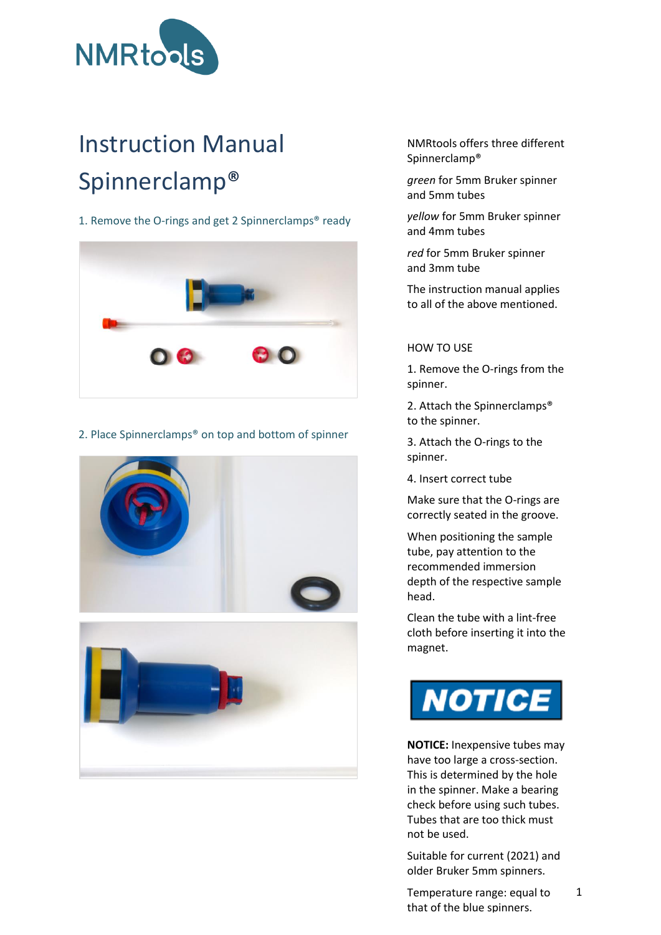

# Instruction Manual Spinnerclamp®

### 1. Remove the O-rings and get 2 Spinnerclamps® ready



# 2. Place Spinnerclamps® on top and bottom of spinner



NMRtools offers three different Spinnerclamp®

*green* for 5mm Bruker spinner and 5mm tubes

*yellow* for 5mm Bruker spinner and 4mm tubes

*red* for 5mm Bruker spinner and 3mm tube

The instruction manual applies to all of the above mentioned.

#### HOW TO USE

1. Remove the O-rings from the spinner.

2. Attach the Spinnerclamps® to the spinner.

3. Attach the O-rings to the spinner.

4. Insert correct tube

Make sure that the O-rings are correctly seated in the groove.

When positioning the sample tube, pay attention to the recommended immersion depth of the respective sample head.

Clean the tube with a lint-free cloth before inserting it into the magnet.



**NOTICE:** Inexpensive tubes may have too large a cross-section. This is determined by the hole in the spinner. Make a bearing check before using such tubes. Tubes that are too thick must not be used.

Suitable for current (2021) and older Bruker 5mm spinners.

Temperature range: equal to that of the blue spinners.